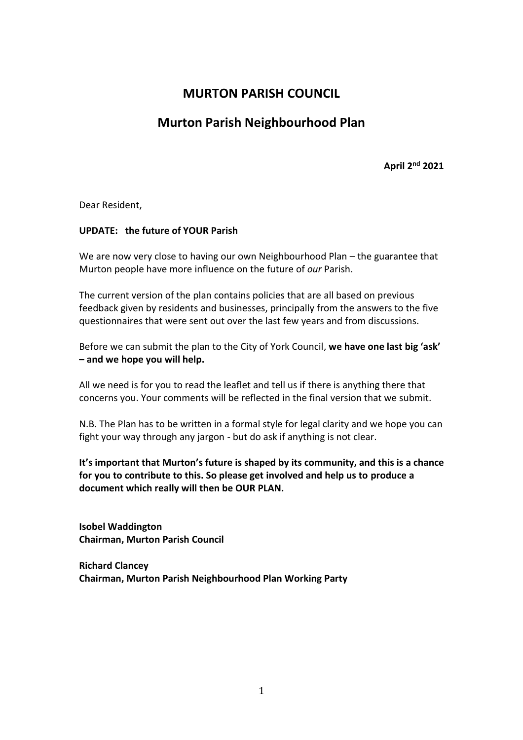## **MURTON PARISH COUNCIL**

# **Murton Parish Neighbourhood Plan**

**April 2nd 2021**

Dear Resident,

## **UPDATE: the future of YOUR Parish**

We are now very close to having our own Neighbourhood Plan – the guarantee that Murton people have more influence on the future of *our* Parish.

The current version of the plan contains policies that are all based on previous feedback given by residents and businesses, principally from the answers to the five questionnaires that were sent out over the last few years and from discussions.

Before we can submit the plan to the City of York Council, **we have one last big 'ask' – and we hope you will help.** 

All we need is for you to read the leaflet and tell us if there is anything there that concerns you. Your comments will be reflected in the final version that we submit.

N.B. The Plan has to be written in a formal style for legal clarity and we hope you can fight your way through any jargon - but do ask if anything is not clear.

**It's important that Murton's future is shaped by its community, and this is a chance for you to contribute to this. So please get involved and help us to produce a document which really will then be OUR PLAN.**

**Isobel Waddington Chairman, Murton Parish Council**

**Richard Clancey Chairman, Murton Parish Neighbourhood Plan Working Party**